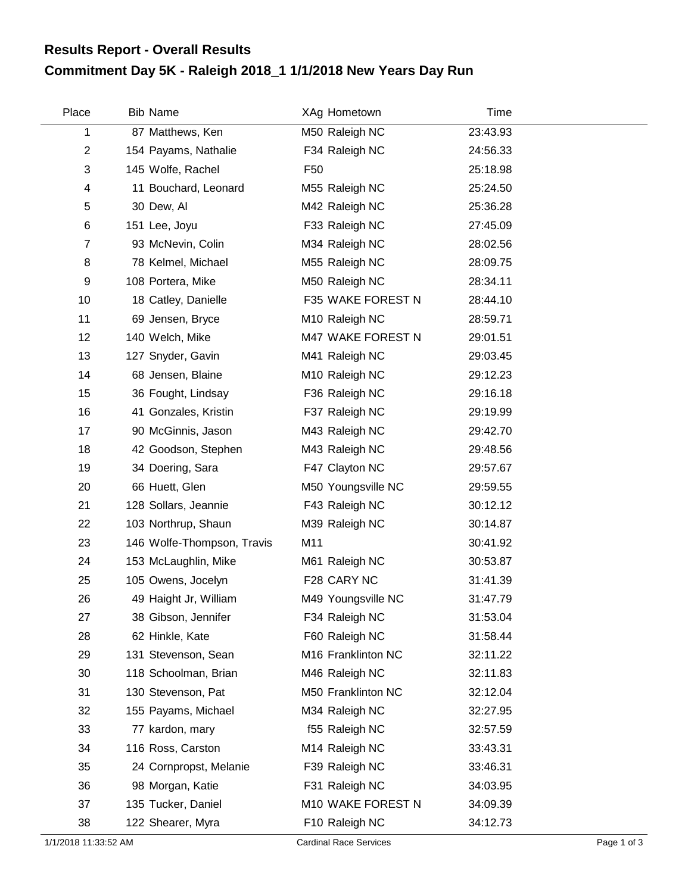## **Commitment Day 5K - Raleigh 2018\_1 1/1/2018 New Years Day Run Results Report - Overall Results**

| Place          | <b>Bib Name</b>            | XAg Hometown       | Time     |  |
|----------------|----------------------------|--------------------|----------|--|
| 1              | 87 Matthews, Ken           | M50 Raleigh NC     | 23:43.93 |  |
| $\overline{2}$ | 154 Payams, Nathalie       | F34 Raleigh NC     | 24:56.33 |  |
| $\sqrt{3}$     | 145 Wolfe, Rachel          | F <sub>50</sub>    | 25:18.98 |  |
| 4              | 11 Bouchard, Leonard       | M55 Raleigh NC     | 25:24.50 |  |
| 5              | 30 Dew, Al                 | M42 Raleigh NC     | 25:36.28 |  |
| 6              | 151 Lee, Joyu              | F33 Raleigh NC     | 27:45.09 |  |
| $\overline{7}$ | 93 McNevin, Colin          | M34 Raleigh NC     | 28:02.56 |  |
| 8              | 78 Kelmel, Michael         | M55 Raleigh NC     | 28:09.75 |  |
| 9              | 108 Portera, Mike          | M50 Raleigh NC     | 28:34.11 |  |
| 10             | 18 Catley, Danielle        | F35 WAKE FOREST N  | 28:44.10 |  |
| 11             | 69 Jensen, Bryce           | M10 Raleigh NC     | 28:59.71 |  |
| 12             | 140 Welch, Mike            | M47 WAKE FOREST N  | 29:01.51 |  |
| 13             | 127 Snyder, Gavin          | M41 Raleigh NC     | 29:03.45 |  |
| 14             | 68 Jensen, Blaine          | M10 Raleigh NC     | 29:12.23 |  |
| 15             | 36 Fought, Lindsay         | F36 Raleigh NC     | 29:16.18 |  |
| 16             | 41 Gonzales, Kristin       | F37 Raleigh NC     | 29:19.99 |  |
| 17             | 90 McGinnis, Jason         | M43 Raleigh NC     | 29:42.70 |  |
| 18             | 42 Goodson, Stephen        | M43 Raleigh NC     | 29:48.56 |  |
| 19             | 34 Doering, Sara           | F47 Clayton NC     | 29:57.67 |  |
| 20             | 66 Huett, Glen             | M50 Youngsville NC | 29:59.55 |  |
| 21             | 128 Sollars, Jeannie       | F43 Raleigh NC     | 30:12.12 |  |
| 22             | 103 Northrup, Shaun        | M39 Raleigh NC     | 30:14.87 |  |
| 23             | 146 Wolfe-Thompson, Travis | M11                | 30:41.92 |  |
| 24             | 153 McLaughlin, Mike       | M61 Raleigh NC     | 30:53.87 |  |
| 25             | 105 Owens, Jocelyn         | F28 CARY NC        | 31:41.39 |  |
| 26             | 49 Haight Jr, William      | M49 Youngsville NC | 31:47.79 |  |
| 27             | 38 Gibson, Jennifer        | F34 Raleigh NC     | 31:53.04 |  |
| 28             | 62 Hinkle, Kate            | F60 Raleigh NC     | 31:58.44 |  |
| 29             | 131 Stevenson, Sean        | M16 Franklinton NC | 32:11.22 |  |
| 30             | 118 Schoolman, Brian       | M46 Raleigh NC     | 32:11.83 |  |
| 31             | 130 Stevenson, Pat         | M50 Franklinton NC | 32:12.04 |  |
| 32             | 155 Payams, Michael        | M34 Raleigh NC     | 32:27.95 |  |
| 33             | 77 kardon, mary            | f55 Raleigh NC     | 32:57.59 |  |
| 34             | 116 Ross, Carston          | M14 Raleigh NC     | 33:43.31 |  |
| 35             | 24 Cornpropst, Melanie     | F39 Raleigh NC     | 33:46.31 |  |
| 36             | 98 Morgan, Katie           | F31 Raleigh NC     | 34:03.95 |  |
| 37             | 135 Tucker, Daniel         | M10 WAKE FOREST N  | 34:09.39 |  |
| 38             | 122 Shearer, Myra          | F10 Raleigh NC     | 34:12.73 |  |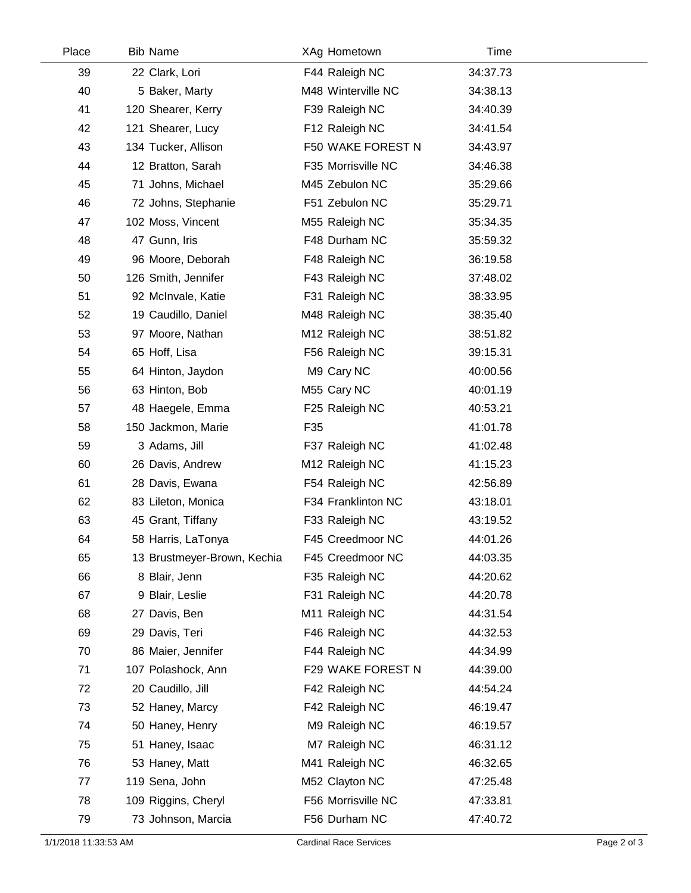| Place | <b>Bib Name</b>             | XAg Hometown       | Time     |  |
|-------|-----------------------------|--------------------|----------|--|
| 39    | 22 Clark, Lori              | F44 Raleigh NC     | 34:37.73 |  |
| 40    | 5 Baker, Marty              | M48 Winterville NC | 34:38.13 |  |
| 41    | 120 Shearer, Kerry          | F39 Raleigh NC     | 34:40.39 |  |
| 42    | 121 Shearer, Lucy           | F12 Raleigh NC     | 34:41.54 |  |
| 43    | 134 Tucker, Allison         | F50 WAKE FOREST N  | 34:43.97 |  |
| 44    | 12 Bratton, Sarah           | F35 Morrisville NC | 34:46.38 |  |
| 45    | 71 Johns, Michael           | M45 Zebulon NC     | 35:29.66 |  |
| 46    | 72 Johns, Stephanie         | F51 Zebulon NC     | 35:29.71 |  |
| 47    | 102 Moss, Vincent           | M55 Raleigh NC     | 35:34.35 |  |
| 48    | 47 Gunn, Iris               | F48 Durham NC      | 35:59.32 |  |
| 49    | 96 Moore, Deborah           | F48 Raleigh NC     | 36:19.58 |  |
| 50    | 126 Smith, Jennifer         | F43 Raleigh NC     | 37:48.02 |  |
| 51    | 92 McInvale, Katie          | F31 Raleigh NC     | 38:33.95 |  |
| 52    | 19 Caudillo, Daniel         | M48 Raleigh NC     | 38:35.40 |  |
| 53    | 97 Moore, Nathan            | M12 Raleigh NC     | 38:51.82 |  |
| 54    | 65 Hoff, Lisa               | F56 Raleigh NC     | 39:15.31 |  |
| 55    | 64 Hinton, Jaydon           | M9 Cary NC         | 40:00.56 |  |
| 56    | 63 Hinton, Bob              | M55 Cary NC        | 40:01.19 |  |
| 57    | 48 Haegele, Emma            | F25 Raleigh NC     | 40:53.21 |  |
| 58    | 150 Jackmon, Marie          | F35                | 41:01.78 |  |
| 59    | 3 Adams, Jill               | F37 Raleigh NC     | 41:02.48 |  |
| 60    | 26 Davis, Andrew            | M12 Raleigh NC     | 41:15.23 |  |
| 61    | 28 Davis, Ewana             | F54 Raleigh NC     | 42:56.89 |  |
| 62    | 83 Lileton, Monica          | F34 Franklinton NC | 43:18.01 |  |
| 63    | 45 Grant, Tiffany           | F33 Raleigh NC     | 43:19.52 |  |
| 64    | 58 Harris, LaTonya          | F45 Creedmoor NC   | 44:01.26 |  |
| 65    | 13 Brustmeyer-Brown, Kechia | F45 Creedmoor NC   | 44:03.35 |  |
| 66    | 8 Blair, Jenn               | F35 Raleigh NC     | 44:20.62 |  |
| 67    | 9 Blair, Leslie             | F31 Raleigh NC     | 44:20.78 |  |
| 68    | 27 Davis, Ben               | M11 Raleigh NC     | 44:31.54 |  |
| 69    | 29 Davis, Teri              | F46 Raleigh NC     | 44:32.53 |  |
| 70    | 86 Maier, Jennifer          | F44 Raleigh NC     | 44:34.99 |  |
| 71    | 107 Polashock, Ann          | F29 WAKE FOREST N  | 44:39.00 |  |
| 72    | 20 Caudillo, Jill           | F42 Raleigh NC     | 44:54.24 |  |
| 73    | 52 Haney, Marcy             | F42 Raleigh NC     | 46:19.47 |  |
| 74    | 50 Haney, Henry             | M9 Raleigh NC      | 46:19.57 |  |
| 75    | 51 Haney, Isaac             | M7 Raleigh NC      | 46:31.12 |  |
| 76    | 53 Haney, Matt              | M41 Raleigh NC     | 46:32.65 |  |
| 77    | 119 Sena, John              | M52 Clayton NC     | 47:25.48 |  |
| 78    | 109 Riggins, Cheryl         | F56 Morrisville NC | 47:33.81 |  |
| 79    | 73 Johnson, Marcia          | F56 Durham NC      | 47:40.72 |  |